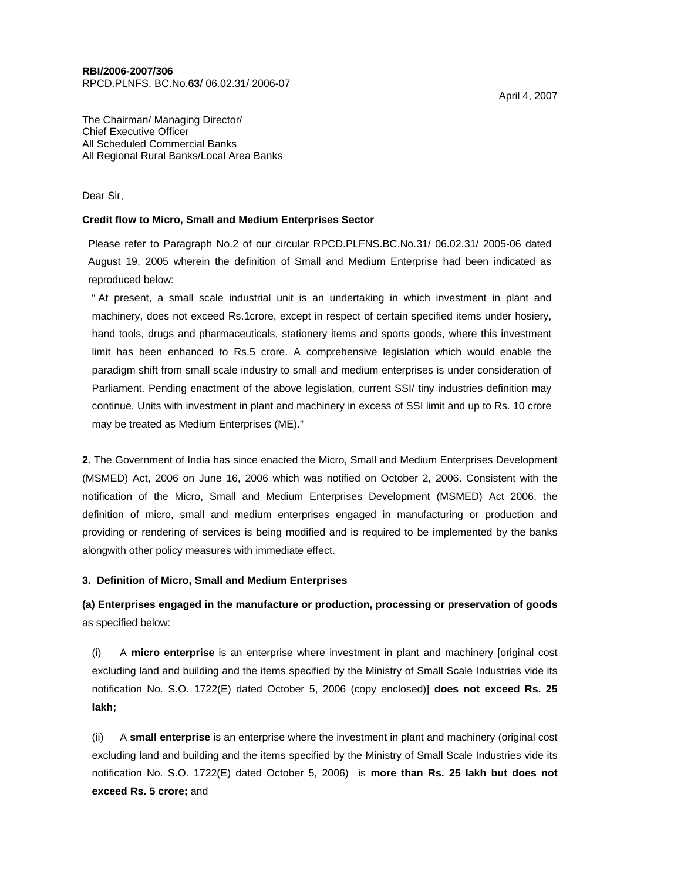# **RBI/2006-2007/306**

RPCD.PLNFS. BC.No.**63**/ 06.02.31/ 2006-07

The Chairman/ Managing Director/ Chief Executive Officer All Scheduled Commercial Banks All Regional Rural Banks/Local Area Banks

## Dear Sir,

# **Credit flow to Micro, Small and Medium Enterprises Sector**

Please refer to Paragraph No.2 of our circular RPCD.PLFNS.BC.No.31/ 06.02.31/ 2005-06 dated August 19, 2005 wherein the definition of Small and Medium Enterprise had been indicated as reproduced below:

" At present, a small scale industrial unit is an undertaking in which investment in plant and machinery, does not exceed Rs.1crore, except in respect of certain specified items under hosiery, hand tools, drugs and pharmaceuticals, stationery items and sports goods, where this investment limit has been enhanced to Rs.5 crore. A comprehensive legislation which would enable the paradigm shift from small scale industry to small and medium enterprises is under consideration of Parliament. Pending enactment of the above legislation, current SSI/ tiny industries definition may continue. Units with investment in plant and machinery in excess of SSI limit and up to Rs. 10 crore may be treated as Medium Enterprises (ME)."

**2**. The Government of India has since enacted the Micro, Small and Medium Enterprises Development (MSMED) Act, 2006 on June 16, 2006 which was notified on October 2, 2006. Consistent with the notification of the Micro, Small and Medium Enterprises Development (MSMED) Act 2006, the definition of micro, small and medium enterprises engaged in manufacturing or production and providing or rendering of services is being modified and is required to be implemented by the banks alongwith other policy measures with immediate effect.

### **3. Definition of Micro, Small and Medium Enterprises**

# **(a) Enterprises engaged in the manufacture or production, processing or preservation of goods**  as specified below:

(i) A **micro enterprise** is an enterprise where investment in plant and machinery [original cost excluding land and building and the items specified by the Ministry of Small Scale Industries vide its notification No. S.O. 1722(E) dated October 5, 2006 (copy enclosed)] **does not exceed Rs. 25 lakh;** 

(ii) A **small enterprise** is an enterprise where the investment in plant and machinery (original cost excluding land and building and the items specified by the Ministry of Small Scale Industries vide its notification No. S.O. 1722(E) dated October 5, 2006) is **more than Rs. 25 lakh but does not exceed Rs. 5 crore;** and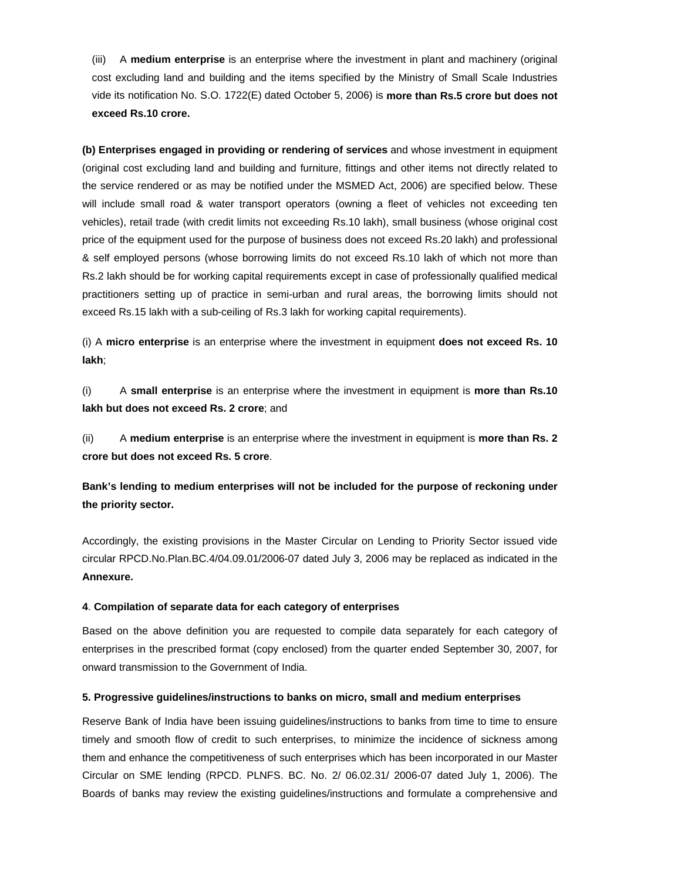(iii) A **medium enterprise** is an enterprise where the investment in plant and machinery (original cost excluding land and building and the items specified by the Ministry of Small Scale Industries vide its notification No. S.O. 1722(E) dated October 5, 2006) is **more than Rs.5 crore but does not exceed Rs.10 crore.** 

**(b) Enterprises engaged in providing or rendering of services** and whose investment in equipment (original cost excluding land and building and furniture, fittings and other items not directly related to the service rendered or as may be notified under the MSMED Act, 2006) are specified below. These will include small road & water transport operators (owning a fleet of vehicles not exceeding ten vehicles), retail trade (with credit limits not exceeding Rs.10 lakh), small business (whose original cost price of the equipment used for the purpose of business does not exceed Rs.20 lakh) and professional & self employed persons (whose borrowing limits do not exceed Rs.10 lakh of which not more than Rs.2 lakh should be for working capital requirements except in case of professionally qualified medical practitioners setting up of practice in semi-urban and rural areas, the borrowing limits should not exceed Rs.15 lakh with a sub-ceiling of Rs.3 lakh for working capital requirements).

(i) A **micro enterprise** is an enterprise where the investment in equipment **does not exceed Rs. 10 lakh**;

(i) A **small enterprise** is an enterprise where the investment in equipment is **more than Rs.10 lakh but does not exceed Rs. 2 crore**; and

(ii) A **medium enterprise** is an enterprise where the investment in equipment is **more than Rs. 2 crore but does not exceed Rs. 5 crore**.

**Bank's lending to medium enterprises will not be included for the purpose of reckoning under the priority sector.** 

Accordingly, the existing provisions in the Master Circular on Lending to Priority Sector issued vide circular RPCD.No.Plan.BC.4/04.09.01/2006-07 dated July 3, 2006 may be replaced as indicated in the **Annexure.** 

### **4**. **Compilation of separate data for each category of enterprises**

Based on the above definition you are requested to compile data separately for each category of enterprises in the prescribed format (copy enclosed) from the quarter ended September 30, 2007, for onward transmission to the Government of India.

#### **5. Progressive guidelines/instructions to banks on micro, small and medium enterprises**

Reserve Bank of India have been issuing guidelines/instructions to banks from time to time to ensure timely and smooth flow of credit to such enterprises, to minimize the incidence of sickness among them and enhance the competitiveness of such enterprises which has been incorporated in our Master Circular on SME lending (RPCD. PLNFS. BC. No. 2/ 06.02.31/ 2006-07 dated July 1, 2006). The Boards of banks may review the existing guidelines/instructions and formulate a comprehensive and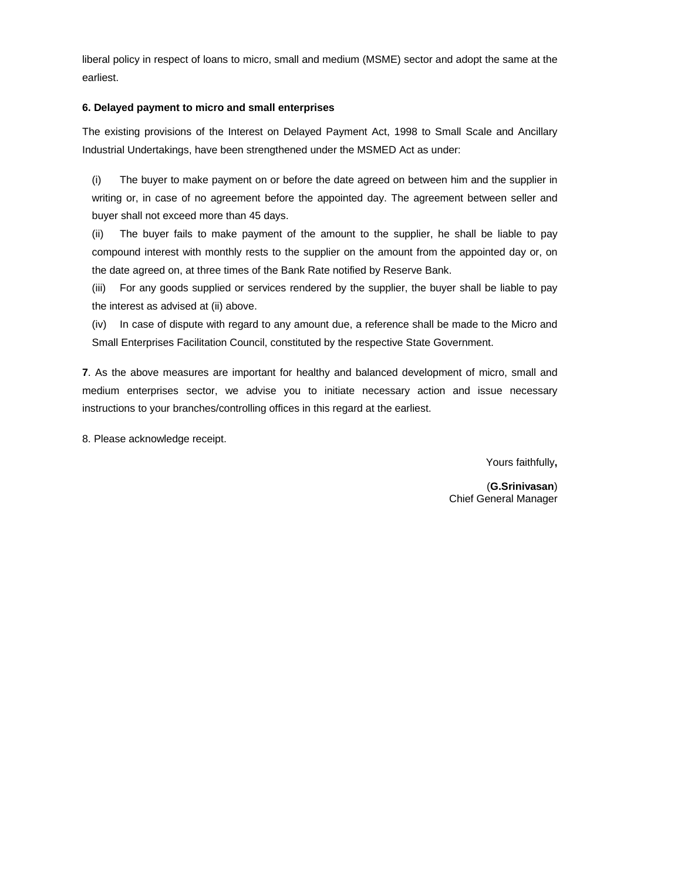liberal policy in respect of loans to micro, small and medium (MSME) sector and adopt the same at the earliest.

# **6. Delayed payment to micro and small enterprises**

The existing provisions of the Interest on Delayed Payment Act, 1998 to Small Scale and Ancillary Industrial Undertakings, have been strengthened under the MSMED Act as under:

(i) The buyer to make payment on or before the date agreed on between him and the supplier in writing or, in case of no agreement before the appointed day. The agreement between seller and buyer shall not exceed more than 45 days.

(ii) The buyer fails to make payment of the amount to the supplier, he shall be liable to pay compound interest with monthly rests to the supplier on the amount from the appointed day or, on the date agreed on, at three times of the Bank Rate notified by Reserve Bank.

(iii) For any goods supplied or services rendered by the supplier, the buyer shall be liable to pay the interest as advised at (ii) above.

(iv) In case of dispute with regard to any amount due, a reference shall be made to the Micro and Small Enterprises Facilitation Council, constituted by the respective State Government.

**7**. As the above measures are important for healthy and balanced development of micro, small and medium enterprises sector, we advise you to initiate necessary action and issue necessary instructions to your branches/controlling offices in this regard at the earliest.

8. Please acknowledge receipt.

Yours faithfully**,** 

(**G.Srinivasan**) Chief General Manager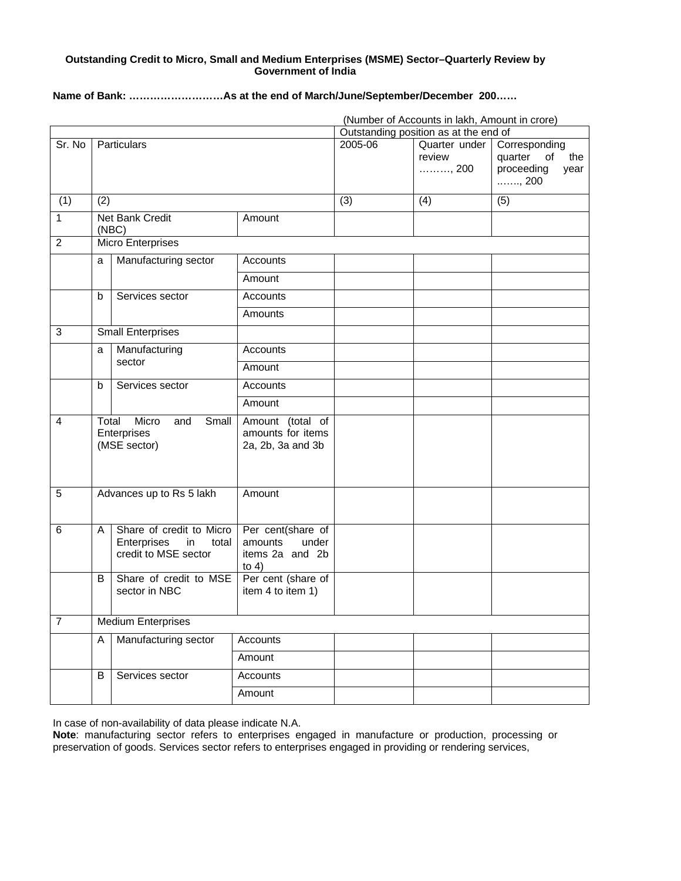# **Outstanding Credit to Micro, Small and Medium Enterprises (MSME) Sector–Quarterly Review by Government of India**

**Name of Bank: ………………………As at the end of March/June/September/December 200……** 

|                |                                                               |                                                                                |                                                                     |                                       | (Number of Accounts in lakh, Amount in crore) |                                                                                   |
|----------------|---------------------------------------------------------------|--------------------------------------------------------------------------------|---------------------------------------------------------------------|---------------------------------------|-----------------------------------------------|-----------------------------------------------------------------------------------|
|                |                                                               |                                                                                |                                                                     | Outstanding position as at the end of |                                               |                                                                                   |
| Sr. No         | <b>Particulars</b>                                            |                                                                                |                                                                     | 2005-06                               | Quarter under<br>review<br>, 200              | Corresponding<br>quarter of<br>the<br>proceeding<br>year<br>$\ldots \ldots$ , 200 |
| (1)            | (2)                                                           |                                                                                |                                                                     | (3)                                   | (4)                                           | (5)                                                                               |
| $\mathbf{1}$   | Net Bank Credit<br>(NEC)                                      |                                                                                | Amount                                                              |                                       |                                               |                                                                                   |
| $\overline{2}$ | <b>Micro Enterprises</b>                                      |                                                                                |                                                                     |                                       |                                               |                                                                                   |
|                | a                                                             | Manufacturing sector                                                           | Accounts                                                            |                                       |                                               |                                                                                   |
|                |                                                               |                                                                                | Amount                                                              |                                       |                                               |                                                                                   |
|                | $\mathsf{b}$                                                  | Services sector                                                                | Accounts                                                            |                                       |                                               |                                                                                   |
|                |                                                               |                                                                                | Amounts                                                             |                                       |                                               |                                                                                   |
| 3              |                                                               | <b>Small Enterprises</b>                                                       |                                                                     |                                       |                                               |                                                                                   |
|                | a                                                             | Manufacturing<br>sector                                                        | Accounts                                                            |                                       |                                               |                                                                                   |
|                |                                                               |                                                                                | Amount                                                              |                                       |                                               |                                                                                   |
|                | b                                                             | Services sector                                                                | <b>Accounts</b>                                                     |                                       |                                               |                                                                                   |
|                |                                                               |                                                                                | Amount                                                              |                                       |                                               |                                                                                   |
| 4              | Micro<br>Total<br>Small<br>and<br>Enterprises<br>(MSE sector) |                                                                                | Amount (total of<br>amounts for items<br>2a, 2b, 3a and 3b          |                                       |                                               |                                                                                   |
| 5              | Advances up to Rs 5 lakh                                      |                                                                                | Amount                                                              |                                       |                                               |                                                                                   |
| 6              | A                                                             | Share of credit to Micro<br>Enterprises<br>in<br>total<br>credit to MSE sector | Per cent(share of<br>under<br>amounts<br>items 2a and 2b<br>to $4)$ |                                       |                                               |                                                                                   |
|                | B                                                             | Share of credit to MSE<br>sector in NBC                                        | Per cent (share of<br>item 4 to item 1)                             |                                       |                                               |                                                                                   |
| $\overline{7}$ | <b>Medium Enterprises</b>                                     |                                                                                |                                                                     |                                       |                                               |                                                                                   |
|                | A                                                             | Manufacturing sector                                                           | Accounts                                                            |                                       |                                               |                                                                                   |
|                |                                                               |                                                                                | Amount                                                              |                                       |                                               |                                                                                   |
|                | B                                                             | Services sector                                                                | <b>Accounts</b>                                                     |                                       |                                               |                                                                                   |
|                |                                                               |                                                                                | Amount                                                              |                                       |                                               |                                                                                   |

In case of non-availability of data please indicate N.A.

**Note**: manufacturing sector refers to enterprises engaged in manufacture or production, processing or preservation of goods. Services sector refers to enterprises engaged in providing or rendering services,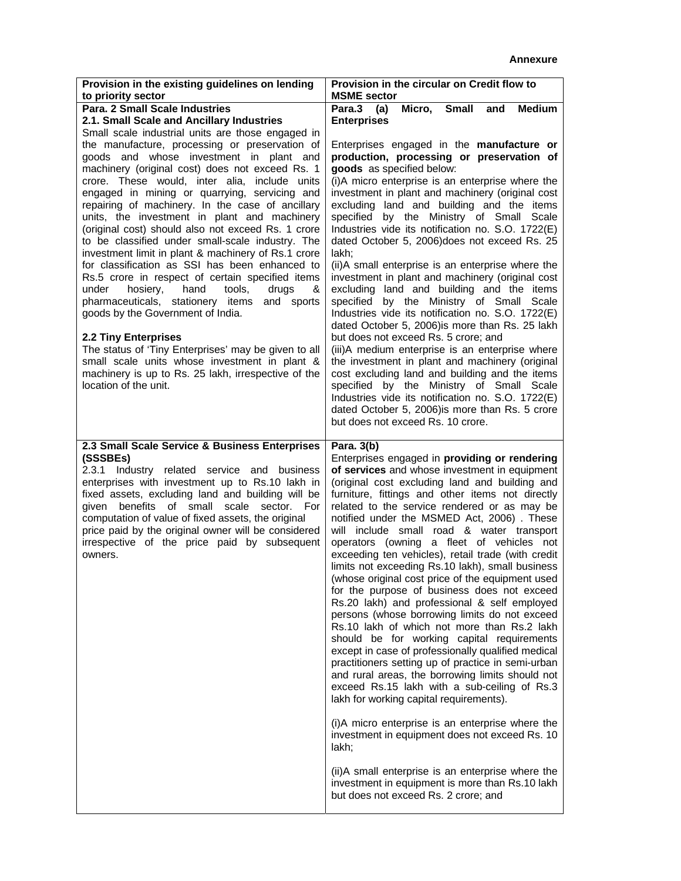| Provision in the existing guidelines on lending<br>to priority sector                                                                                                                                                                                                                                                                                                                                                                                                                                                                                                                                                                                                                                                                                                                                                                                                                                                                                                                       | Provision in the circular on Credit flow to<br><b>MSME</b> sector                                                                                                                                                                                                                                                                                                                                                                                                                                                                                                                                                                                                                                                                                                                                                                                                                                                                                                                                                                                                                                                                                                                                                                                                                                                                               |  |  |
|---------------------------------------------------------------------------------------------------------------------------------------------------------------------------------------------------------------------------------------------------------------------------------------------------------------------------------------------------------------------------------------------------------------------------------------------------------------------------------------------------------------------------------------------------------------------------------------------------------------------------------------------------------------------------------------------------------------------------------------------------------------------------------------------------------------------------------------------------------------------------------------------------------------------------------------------------------------------------------------------|-------------------------------------------------------------------------------------------------------------------------------------------------------------------------------------------------------------------------------------------------------------------------------------------------------------------------------------------------------------------------------------------------------------------------------------------------------------------------------------------------------------------------------------------------------------------------------------------------------------------------------------------------------------------------------------------------------------------------------------------------------------------------------------------------------------------------------------------------------------------------------------------------------------------------------------------------------------------------------------------------------------------------------------------------------------------------------------------------------------------------------------------------------------------------------------------------------------------------------------------------------------------------------------------------------------------------------------------------|--|--|
| Para. 2 Small Scale Industries<br>2.1. Small Scale and Ancillary Industries<br>Small scale industrial units are those engaged in                                                                                                                                                                                                                                                                                                                                                                                                                                                                                                                                                                                                                                                                                                                                                                                                                                                            | Para.3<br><b>Medium</b><br>Micro,<br><b>Small</b><br>(a)<br>and<br><b>Enterprises</b>                                                                                                                                                                                                                                                                                                                                                                                                                                                                                                                                                                                                                                                                                                                                                                                                                                                                                                                                                                                                                                                                                                                                                                                                                                                           |  |  |
| the manufacture, processing or preservation of<br>goods and whose investment in plant and<br>machinery (original cost) does not exceed Rs. 1<br>crore. These would, inter alia, include units<br>engaged in mining or quarrying, servicing and<br>repairing of machinery. In the case of ancillary<br>units, the investment in plant and machinery<br>(original cost) should also not exceed Rs. 1 crore<br>to be classified under small-scale industry. The<br>investment limit in plant & machinery of Rs.1 crore<br>for classification as SSI has been enhanced to<br>Rs.5 crore in respect of certain specified items<br>under<br>hosiery,<br>hand<br>tools,<br>drugs<br>&<br>pharmaceuticals, stationery items and sports<br>goods by the Government of India.<br><b>2.2 Tiny Enterprises</b><br>The status of 'Tiny Enterprises' may be given to all<br>small scale units whose investment in plant &<br>machinery is up to Rs. 25 lakh, irrespective of the<br>location of the unit. | Enterprises engaged in the manufacture or<br>production, processing or preservation of<br>goods as specified below:<br>(i)A micro enterprise is an enterprise where the<br>investment in plant and machinery (original cost<br>excluding land and building and the items<br>specified by the Ministry of Small Scale<br>Industries vide its notification no. S.O. 1722(E)<br>dated October 5, 2006) does not exceed Rs. 25<br>lakh:<br>(ii)A small enterprise is an enterprise where the<br>investment in plant and machinery (original cost<br>excluding land and building and the items<br>specified by the Ministry of Small Scale<br>Industries vide its notification no. S.O. 1722(E)<br>dated October 5, 2006) is more than Rs. 25 lakh<br>but does not exceed Rs. 5 crore; and<br>(iii)A medium enterprise is an enterprise where<br>the investment in plant and machinery (original<br>cost excluding land and building and the items<br>specified by the Ministry of Small Scale<br>Industries vide its notification no. S.O. 1722(E)<br>dated October 5, 2006) is more than Rs. 5 crore<br>but does not exceed Rs. 10 crore.                                                                                                                                                                                                          |  |  |
| 2.3 Small Scale Service & Business Enterprises<br>(SSSBEs)<br>2.3.1 Industry related service and business<br>enterprises with investment up to Rs.10 lakh in<br>fixed assets, excluding land and building will be<br>benefits of small scale sector. For<br>qiven<br>computation of value of fixed assets, the original<br>price paid by the original owner will be considered<br>irrespective of the price paid by subsequent<br>owners.                                                                                                                                                                                                                                                                                                                                                                                                                                                                                                                                                   | Para. 3(b)<br>Enterprises engaged in providing or rendering<br>of services and whose investment in equipment<br>(original cost excluding land and building and<br>furniture, fittings and other items not directly<br>related to the service rendered or as may be<br>notified under the MSMED Act, 2006). These<br>will include small road & water transport<br>operators (owning a fleet of vehicles not<br>exceeding ten vehicles), retail trade (with credit<br>limits not exceeding Rs.10 lakh), small business<br>(whose original cost price of the equipment used<br>for the purpose of business does not exceed<br>Rs.20 lakh) and professional & self employed<br>persons (whose borrowing limits do not exceed<br>Rs.10 lakh of which not more than Rs.2 lakh<br>should be for working capital requirements<br>except in case of professionally qualified medical<br>practitioners setting up of practice in semi-urban<br>and rural areas, the borrowing limits should not<br>exceed Rs.15 lakh with a sub-ceiling of Rs.3<br>lakh for working capital requirements).<br>(i)A micro enterprise is an enterprise where the<br>investment in equipment does not exceed Rs. 10<br>lakh;<br>(ii)A small enterprise is an enterprise where the<br>investment in equipment is more than Rs.10 lakh<br>but does not exceed Rs. 2 crore; and |  |  |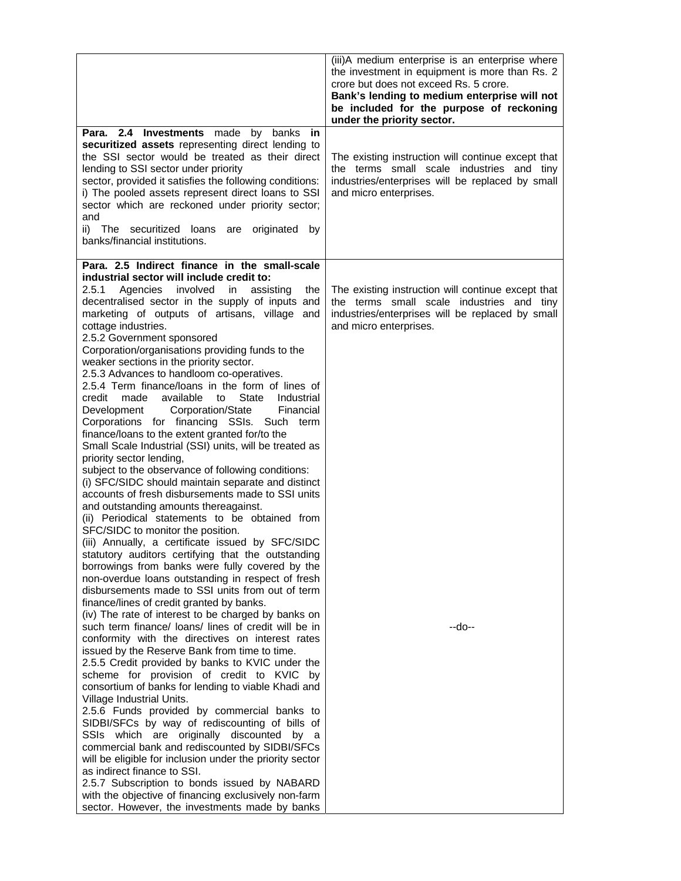|                                                                                                                                                                                                                                                                                                                                                                                                                                                                                                                                                                                                                                                                                                                                                                                                                                                                                                                                                                                                                                                                                                                                                                                                                                                                                                                                                                                                                                                                                                                                                                                                                                                                                                                                                                                                                                                                                                                                                                                                                                                                                                                                                                                                                                                                                                         | (iii)A medium enterprise is an enterprise where<br>the investment in equipment is more than Rs. 2<br>crore but does not exceed Rs. 5 crore.<br>Bank's lending to medium enterprise will not<br>be included for the purpose of reckoning<br>under the priority sector. |
|---------------------------------------------------------------------------------------------------------------------------------------------------------------------------------------------------------------------------------------------------------------------------------------------------------------------------------------------------------------------------------------------------------------------------------------------------------------------------------------------------------------------------------------------------------------------------------------------------------------------------------------------------------------------------------------------------------------------------------------------------------------------------------------------------------------------------------------------------------------------------------------------------------------------------------------------------------------------------------------------------------------------------------------------------------------------------------------------------------------------------------------------------------------------------------------------------------------------------------------------------------------------------------------------------------------------------------------------------------------------------------------------------------------------------------------------------------------------------------------------------------------------------------------------------------------------------------------------------------------------------------------------------------------------------------------------------------------------------------------------------------------------------------------------------------------------------------------------------------------------------------------------------------------------------------------------------------------------------------------------------------------------------------------------------------------------------------------------------------------------------------------------------------------------------------------------------------------------------------------------------------------------------------------------------------|-----------------------------------------------------------------------------------------------------------------------------------------------------------------------------------------------------------------------------------------------------------------------|
| Para. 2.4 Investments made by banks in<br>securitized assets representing direct lending to<br>the SSI sector would be treated as their direct<br>lending to SSI sector under priority<br>sector, provided it satisfies the following conditions:<br>i) The pooled assets represent direct loans to SSI<br>sector which are reckoned under priority sector;<br>and<br>ii) The securitized loans are<br>originated<br>by<br>banks/financial institutions.                                                                                                                                                                                                                                                                                                                                                                                                                                                                                                                                                                                                                                                                                                                                                                                                                                                                                                                                                                                                                                                                                                                                                                                                                                                                                                                                                                                                                                                                                                                                                                                                                                                                                                                                                                                                                                                | The existing instruction will continue except that<br>the terms small scale industries and tiny<br>industries/enterprises will be replaced by small<br>and micro enterprises.                                                                                         |
| Para. 2.5 Indirect finance in the small-scale<br>industrial sector will include credit to:<br>Agencies involved<br>2.5.1<br>in<br>assisting<br>the<br>decentralised sector in the supply of inputs and<br>marketing of outputs of artisans, village<br>and<br>cottage industries.<br>2.5.2 Government sponsored<br>Corporation/organisations providing funds to the<br>weaker sections in the priority sector.<br>2.5.3 Advances to handloom co-operatives.<br>2.5.4 Term finance/loans in the form of lines of<br>made available<br>State<br>credit<br>to<br>Industrial<br>Corporation/State<br>Development<br>Financial<br>Corporations for financing SSIs. Such term<br>finance/loans to the extent granted for/to the<br>Small Scale Industrial (SSI) units, will be treated as<br>priority sector lending,<br>subject to the observance of following conditions:<br>(i) SFC/SIDC should maintain separate and distinct<br>accounts of fresh disbursements made to SSI units<br>and outstanding amounts thereagainst.<br>(ii) Periodical statements to be obtained from<br>SFC/SIDC to monitor the position.<br>(iii) Annually, a certificate issued by SFC/SIDC<br>statutory auditors certifying that the outstanding<br>borrowings from banks were fully covered by the<br>non-overdue loans outstanding in respect of fresh<br>disbursements made to SSI units from out of term<br>finance/lines of credit granted by banks.<br>(iv) The rate of interest to be charged by banks on<br>such term finance/ loans/ lines of credit will be in<br>conformity with the directives on interest rates<br>issued by the Reserve Bank from time to time.<br>2.5.5 Credit provided by banks to KVIC under the<br>scheme for provision of credit to KVIC<br>bv<br>consortium of banks for lending to viable Khadi and<br>Village Industrial Units.<br>2.5.6 Funds provided by commercial banks to<br>SIDBI/SFCs by way of rediscounting of bills of<br>SSIs which are originally discounted by<br>a<br>commercial bank and rediscounted by SIDBI/SFCs<br>will be eligible for inclusion under the priority sector<br>as indirect finance to SSI.<br>2.5.7 Subscription to bonds issued by NABARD<br>with the objective of financing exclusively non-farm<br>sector. However, the investments made by banks | The existing instruction will continue except that<br>the terms small scale industries and tiny<br>industries/enterprises will be replaced by small<br>and micro enterprises.<br>--do--                                                                               |